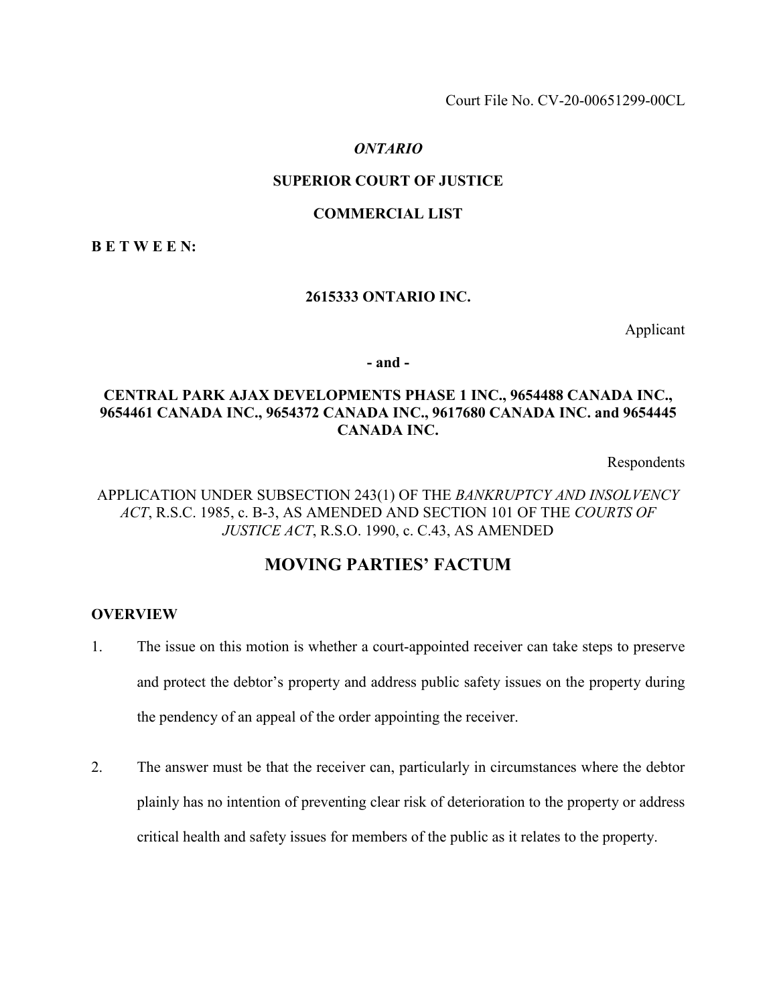Court File No. CV-20-00651299-00CL

#### *ONTARIO*

## **SUPERIOR COURT OF JUSTICE**

#### **COMMERCIAL LIST**

**B E T W E E N:** 

#### **2615333 ONTARIO INC.**

Applicant

**- and -** 

# **CENTRAL PARK AJAX DEVELOPMENTS PHASE 1 INC., 9654488 CANADA INC., 9654461 CANADA INC., 9654372 CANADA INC., 9617680 CANADA INC. and 9654445 CANADA INC.**

Respondents

## APPLICATION UNDER SUBSECTION 243(1) OF THE *BANKRUPTCY AND INSOLVENCY ACT*, R.S.C. 1985, c. B-3, AS AMENDED AND SECTION 101 OF THE *COURTS OF JUSTICE ACT*, R.S.O. 1990, c. C.43, AS AMENDED

# **MOVING PARTIES' FACTUM**

#### **OVERVIEW**

- 1. The issue on this motion is whether a court-appointed receiver can take steps to preserve and protect the debtor's property and address public safety issues on the property during the pendency of an appeal of the order appointing the receiver.
- 2. The answer must be that the receiver can, particularly in circumstances where the debtor plainly has no intention of preventing clear risk of deterioration to the property or address critical health and safety issues for members of the public as it relates to the property.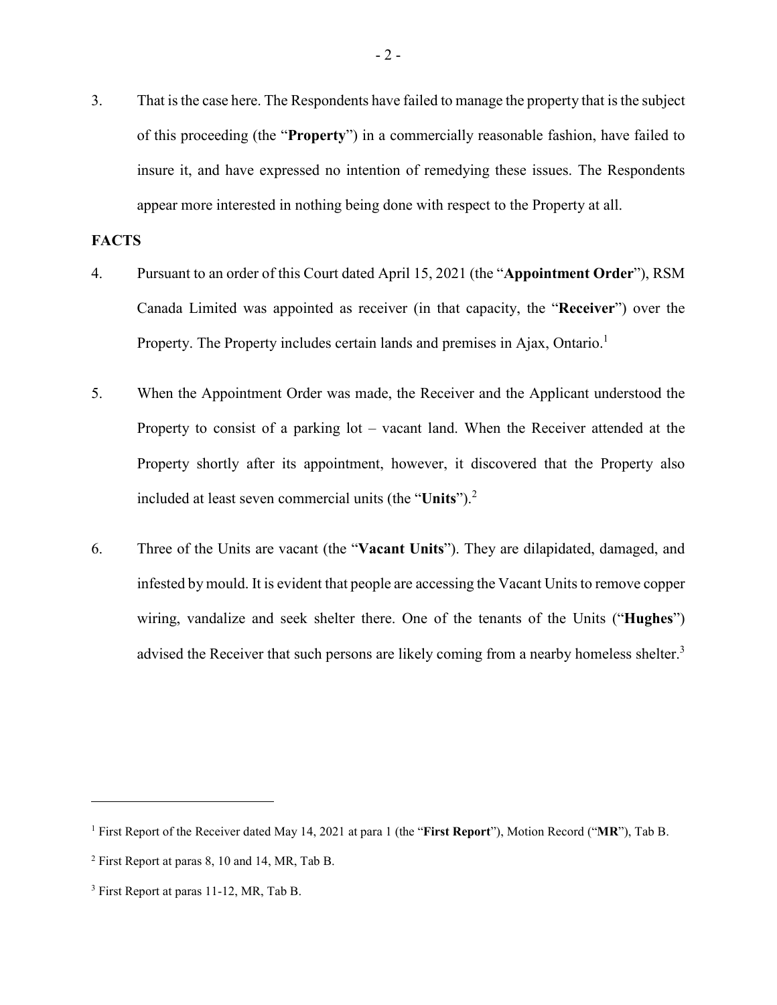3. That is the case here. The Respondents have failed to manage the property that is the subject of this proceeding (the "**Property**") in a commercially reasonable fashion, have failed to insure it, and have expressed no intention of remedying these issues. The Respondents appear more interested in nothing being done with respect to the Property at all.

#### **FACTS**

- 4. Pursuant to an order of this Court dated April 15, 2021 (the "**Appointment Order**"), RSM Canada Limited was appointed as receiver (in that capacity, the "**Receiver**") over the Property. The Property includes certain lands and premises in Ajax, Ontario.<sup>1</sup>
- 5. When the Appointment Order was made, the Receiver and the Applicant understood the Property to consist of a parking lot – vacant land. When the Receiver attended at the Property shortly after its appointment, however, it discovered that the Property also included at least seven commercial units (the "**Units**").<sup>2</sup>
- 6. Three of the Units are vacant (the "**Vacant Units**"). They are dilapidated, damaged, and infested by mould. It is evident that people are accessing the Vacant Units to remove copper wiring, vandalize and seek shelter there. One of the tenants of the Units ("**Hughes**") advised the Receiver that such persons are likely coming from a nearby homeless shelter.<sup>3</sup>

<sup>1</sup> First Report of the Receiver dated May 14, 2021 at para 1 (the "**First Report**"), Motion Record ("**MR**"), Tab B.

<sup>&</sup>lt;sup>2</sup> First Report at paras 8, 10 and 14, MR, Tab B.

<sup>&</sup>lt;sup>3</sup> First Report at paras 11-12, MR, Tab B.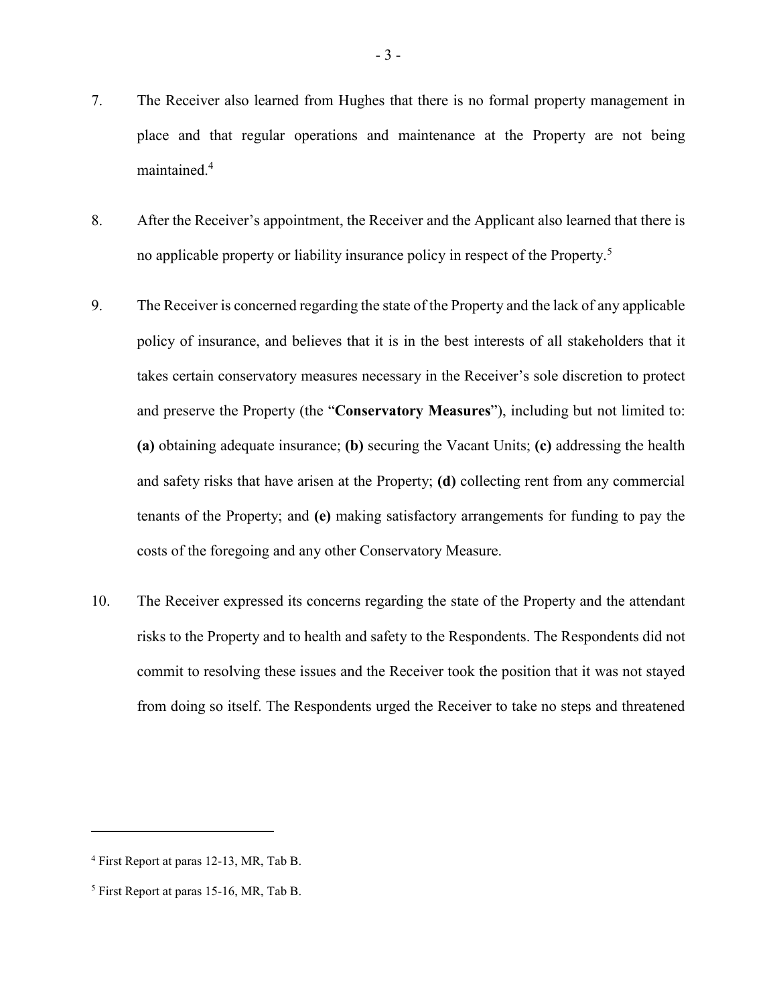- 7. The Receiver also learned from Hughes that there is no formal property management in place and that regular operations and maintenance at the Property are not being maintained.<sup>4</sup>
- 8. After the Receiver's appointment, the Receiver and the Applicant also learned that there is no applicable property or liability insurance policy in respect of the Property.<sup>5</sup>
- 9. The Receiver is concerned regarding the state of the Property and the lack of any applicable policy of insurance, and believes that it is in the best interests of all stakeholders that it takes certain conservatory measures necessary in the Receiver's sole discretion to protect and preserve the Property (the "**Conservatory Measures**"), including but not limited to: **(a)** obtaining adequate insurance; **(b)** securing the Vacant Units; **(c)** addressing the health and safety risks that have arisen at the Property; **(d)** collecting rent from any commercial tenants of the Property; and **(e)** making satisfactory arrangements for funding to pay the costs of the foregoing and any other Conservatory Measure.
- 10. The Receiver expressed its concerns regarding the state of the Property and the attendant risks to the Property and to health and safety to the Respondents. The Respondents did not commit to resolving these issues and the Receiver took the position that it was not stayed from doing so itself. The Respondents urged the Receiver to take no steps and threatened

<sup>4</sup> First Report at paras 12-13, MR, Tab B.

<sup>&</sup>lt;sup>5</sup> First Report at paras 15-16, MR, Tab B.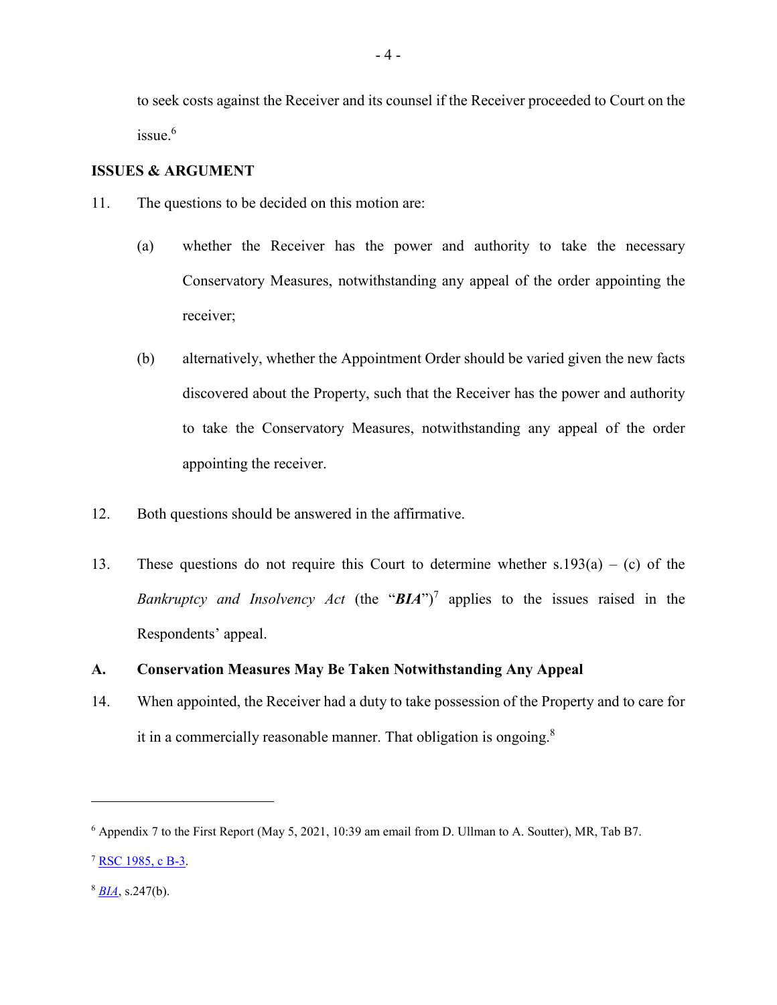to seek costs against the Receiver and its counsel if the Receiver proceeded to Court on the  $is <sub>6</sub>$ 

## **ISSUES & ARGUMENT**

- 11. The questions to be decided on this motion are:
	- (a) whether the Receiver has the power and authority to take the necessary Conservatory Measures, notwithstanding any appeal of the order appointing the receiver;
	- (b) alternatively, whether the Appointment Order should be varied given the new facts discovered about the Property, such that the Receiver has the power and authority to take the Conservatory Measures, notwithstanding any appeal of the order appointing the receiver.
- 12. Both questions should be answered in the affirmative.
- 13. These questions do not require this Court to determine whether  $s.193(a) (c)$  of the *Bankruptcy and Insolvency Act* (the " $BIA$ ")<sup>7</sup> applies to the issues raised in the Respondents' appeal.

## **A. Conservation Measures May Be Taken Notwithstanding Any Appeal**

14. When appointed, the Receiver had a duty to take possession of the Property and to care for it in a commercially reasonable manner. That obligation is ongoing. $8$ 

<sup>6</sup> Appendix 7 to the First Report (May 5, 2021, 10:39 am email from D. Ullman to A. Soutter), MR, Tab B7.

<sup>7</sup> [RSC 1985, c B-3.](https://www.canlii.org/en/ca/laws/stat/rsc-1985-c-b-3/latest/)

 $8$  *[BIA](https://www.canlii.org/en/ca/laws/stat/rsc-1985-c-b-3/latest/?searchUrlHash=AAAAAQADMjQ3AAAAAAE&offset=200)*, s.247(b).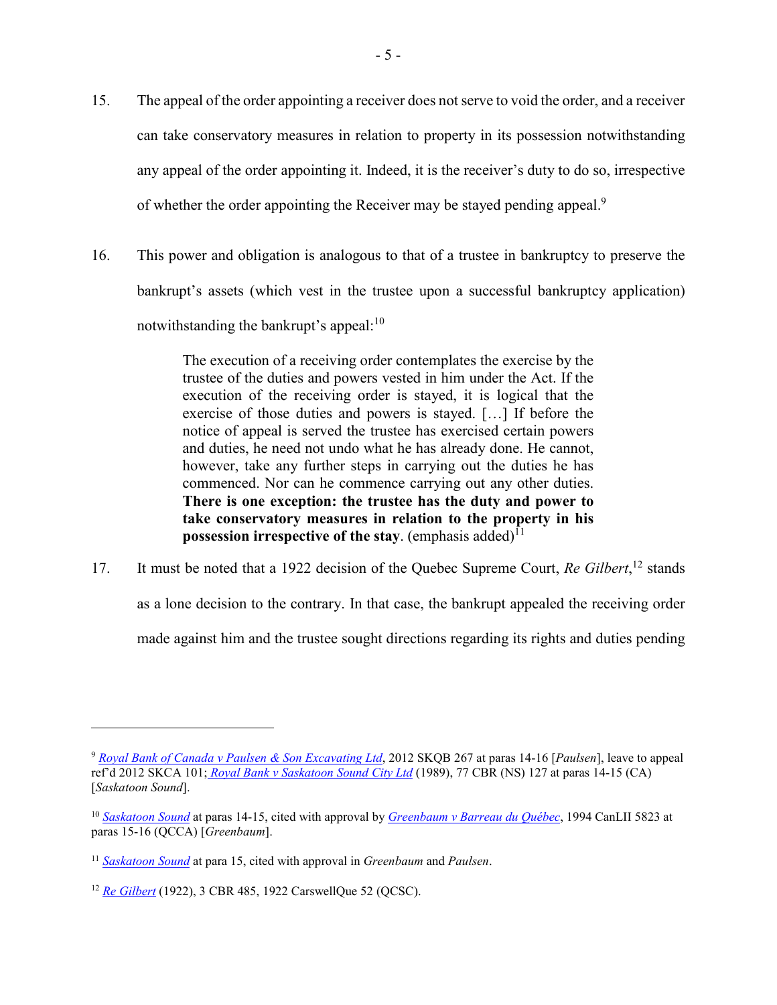- 15. The appeal of the order appointing a receiver does not serve to void the order, and a receiver can take conservatory measures in relation to property in its possession notwithstanding any appeal of the order appointing it. Indeed, it is the receiver's duty to do so, irrespective of whether the order appointing the Receiver may be stayed pending appeal.<sup>9</sup>
- 16. This power and obligation is analogous to that of a trustee in bankruptcy to preserve the bankrupt's assets (which vest in the trustee upon a successful bankruptcy application) notwithstanding the bankrupt's appeal: $10$

The execution of a receiving order contemplates the exercise by the trustee of the duties and powers vested in him under the Act. If the execution of the receiving order is stayed, it is logical that the exercise of those duties and powers is stayed. […] If before the notice of appeal is served the trustee has exercised certain powers and duties, he need not undo what he has already done. He cannot, however, take any further steps in carrying out the duties he has commenced. Nor can he commence carrying out any other duties. **There is one exception: the trustee has the duty and power to take conservatory measures in relation to the property in his possession irrespective of the stay.** (emphasis added)<sup>11</sup>

17. It must be noted that a 1922 decision of the Quebec Supreme Court, *Re Gilbert*,<sup>12</sup> stands as a lone decision to the contrary. In that case, the bankrupt appealed the receiving order made against him and the trustee sought directions regarding its rights and duties pending

<sup>9</sup> *[Royal Bank of Canada v Paulsen & Son Excavating Ltd](https://www.canlii.org/en/sk/skqb/doc/2012/2012skqb267/2012skqb267.html?resultIndex=2)*, 2012 SKQB 267 at paras 14-16 [*Paulsen*], leave to appeal ref'd 2012 SKCA 101; *[Royal Bank v Saskatoon Sound City Ltd](https://canlii.ca/t/gbbbl)* (1989), 77 CBR (NS) 127 at paras 14-15 (CA) [*Saskatoon Sound*].

<sup>10</sup> *[Saskatoon Sound](https://canlii.ca/t/gbbbl)* at paras 14-15, cited with approval by *[Greenbaum v Barreau du Québec](https://canlii.ca/t/1pb2v)*, 1994 CanLII 5823 at paras 15-16 (QCCA) [*Greenbaum*].

<sup>11</sup> *[Saskatoon Sound](https://canlii.ca/t/gbbbl)* at para 15, cited with approval in *Greenbaum* and *Paulsen*.

<sup>12</sup> *[Re Gilbert](https://nextcanada.westlaw.com/Document/I10b717ce458863f0e0440003ba0d6c6d/View/FullText.html?navigationPath=Search%2Fv1%2Fresults%2Fnavigation%2Fi0ad62d34000001798033c28b2ae2591d%3Fppcid%3D01ee1cd801304e1688c1399c7ed46151%26Nav%3DCAN_CASESWITHOUTDECISIONS%26fragmentIdentifier%3DI10b717ce458863f0e0440003ba0d6c6d%26parentRank%3D0%26startIndex%3D1%26contextData%3D%2528sc.Search%2529%26transitionType%3DSearchItem&listSource=Search&listPageSource=6a0138c1ddb5aaa6b427775157b72323&list=ALL&rank=1&sessionScopeId=d984b7ce7af8241b92daca82147985abebf7f237e892332c9c08ace4cb211f04&originationContext=Search%20Result&transitionType=SearchItem&contextData=%28sc.Search%29)* (1922), 3 CBR 485, 1922 CarswellQue 52 (QCSC).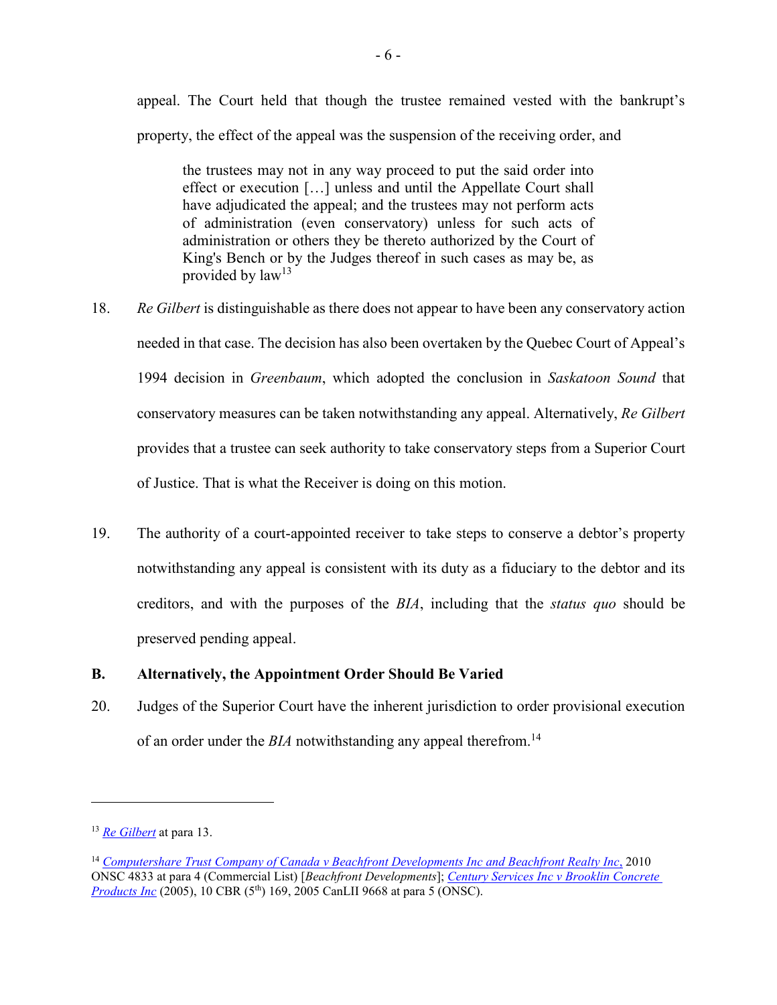appeal. The Court held that though the trustee remained vested with the bankrupt's property, the effect of the appeal was the suspension of the receiving order, and

the trustees may not in any way proceed to put the said order into effect or execution […] unless and until the Appellate Court shall have adjudicated the appeal; and the trustees may not perform acts of administration (even conservatory) unless for such acts of administration or others they be thereto authorized by the Court of King's Bench or by the Judges thereof in such cases as may be, as provided by  $law<sup>13</sup>$ 

- 18. *Re Gilbert* is distinguishable as there does not appear to have been any conservatory action needed in that case. The decision has also been overtaken by the Quebec Court of Appeal's 1994 decision in *Greenbaum*, which adopted the conclusion in *Saskatoon Sound* that conservatory measures can be taken notwithstanding any appeal. Alternatively, *Re Gilbert* provides that a trustee can seek authority to take conservatory steps from a Superior Court of Justice. That is what the Receiver is doing on this motion.
- 19. The authority of a court-appointed receiver to take steps to conserve a debtor's property notwithstanding any appeal is consistent with its duty as a fiduciary to the debtor and its creditors, and with the purposes of the *BIA*, including that the *status quo* should be preserved pending appeal.

## **B. Alternatively, the Appointment Order Should Be Varied**

20. Judges of the Superior Court have the inherent jurisdiction to order provisional execution of an order under the *BIA* notwithstanding any appeal therefrom.<sup>14</sup>

<sup>13</sup> *[Re Gilbert](https://nextcanada.westlaw.com/Document/I10b717ce458863f0e0440003ba0d6c6d/View/FullText.html?navigationPath=Search%2Fv1%2Fresults%2Fnavigation%2Fi0ad62d34000001798033c28b2ae2591d%3Fppcid%3D01ee1cd801304e1688c1399c7ed46151%26Nav%3DCAN_CASESWITHOUTDECISIONS%26fragmentIdentifier%3DI10b717ce458863f0e0440003ba0d6c6d%26parentRank%3D0%26startIndex%3D1%26contextData%3D%2528sc.Search%2529%26transitionType%3DSearchItem&listSource=Search&listPageSource=6a0138c1ddb5aaa6b427775157b72323&list=ALL&rank=1&sessionScopeId=d984b7ce7af8241b92daca82147985abebf7f237e892332c9c08ace4cb211f04&originationContext=Search%20Result&transitionType=SearchItem&contextData=%28sc.Search%29)* at para 13.

<sup>14</sup> *[Computershare Trust Company of Canada v Beachfront Developments Inc and Beachfront Realty Inc](https://www.canlii.org/en/on/onsc/doc/2010/2010onsc4833/2010onsc4833.html?autocompleteStr=Computershare%20Trust%20Company%20of%20Canada%20v%20Beachfront%20Developments%20Inc%20and%20Beachfront%20Realty%20Inc%2C%20&autocompletePos=1&searchUrlHash=AAAAAQABNAAAAAAB&offset=1000)*, 2010 ONSC 4833 at para 4 (Commercial List) [*Beachfront Developments*]; *[Century Services Inc v Brooklin Concrete](https://canlii.ca/t/1k31s)  [Products Inc](https://canlii.ca/t/1k31s)* (2005), 10 CBR (5<sup>th</sup>) 169, 2005 CanLII 9668 at para 5 (ONSC).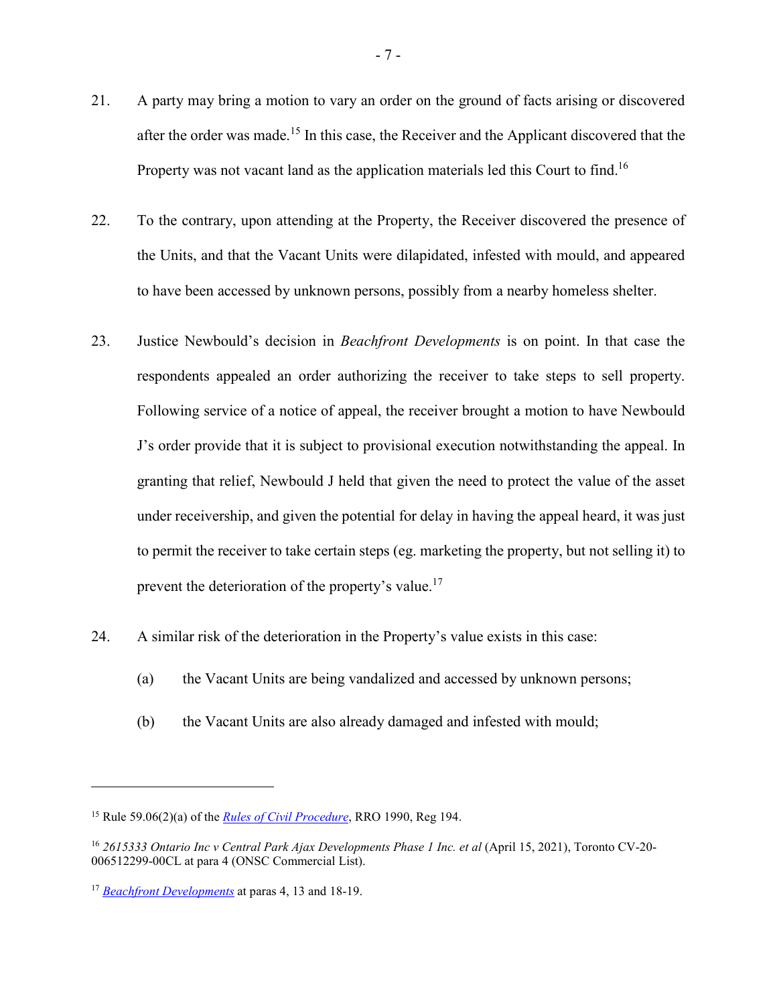- 21. A party may bring a motion to vary an order on the ground of facts arising or discovered after the order was made.<sup>15</sup> In this case, the Receiver and the Applicant discovered that the Property was not vacant land as the application materials led this Court to find.<sup>16</sup>
- 22. To the contrary, upon attending at the Property, the Receiver discovered the presence of the Units, and that the Vacant Units were dilapidated, infested with mould, and appeared to have been accessed by unknown persons, possibly from a nearby homeless shelter.
- 23. Justice Newbould's decision in *Beachfront Developments* is on point. In that case the respondents appealed an order authorizing the receiver to take steps to sell property. Following service of a notice of appeal, the receiver brought a motion to have Newbould J's order provide that it is subject to provisional execution notwithstanding the appeal. In granting that relief, Newbould J held that given the need to protect the value of the asset under receivership, and given the potential for delay in having the appeal heard, it was just to permit the receiver to take certain steps (eg. marketing the property, but not selling it) to prevent the deterioration of the property's value.<sup>17</sup>
- 24. A similar risk of the deterioration in the Property's value exists in this case:
	- (a) the Vacant Units are being vandalized and accessed by unknown persons;
	- (b) the Vacant Units are also already damaged and infested with mould;

<sup>15</sup> Rule 59.06(2)(a) of the *[Rules of Civil Procedure](https://www.ontario.ca/laws/regulation/900194)*, RRO 1990, Reg 194.

<sup>16</sup> *2615333 Ontario Inc v Central Park Ajax Developments Phase 1 Inc. et al* (April 15, 2021), Toronto CV-20- 006512299-00CL at para 4 (ONSC Commercial List).

<sup>17</sup> *[Beachfront Developments](https://www.canlii.org/en/on/onsc/doc/2010/2010onsc4833/2010onsc4833.html?autocompleteStr=Computershare%20Trust%20Company%20of%20Canada%20v%20Beachfront%20Developments%20Inc%20and%20Beachfront%20Realty%20Inc%2C%20&autocompletePos=1)* at paras 4, 13 and 18-19.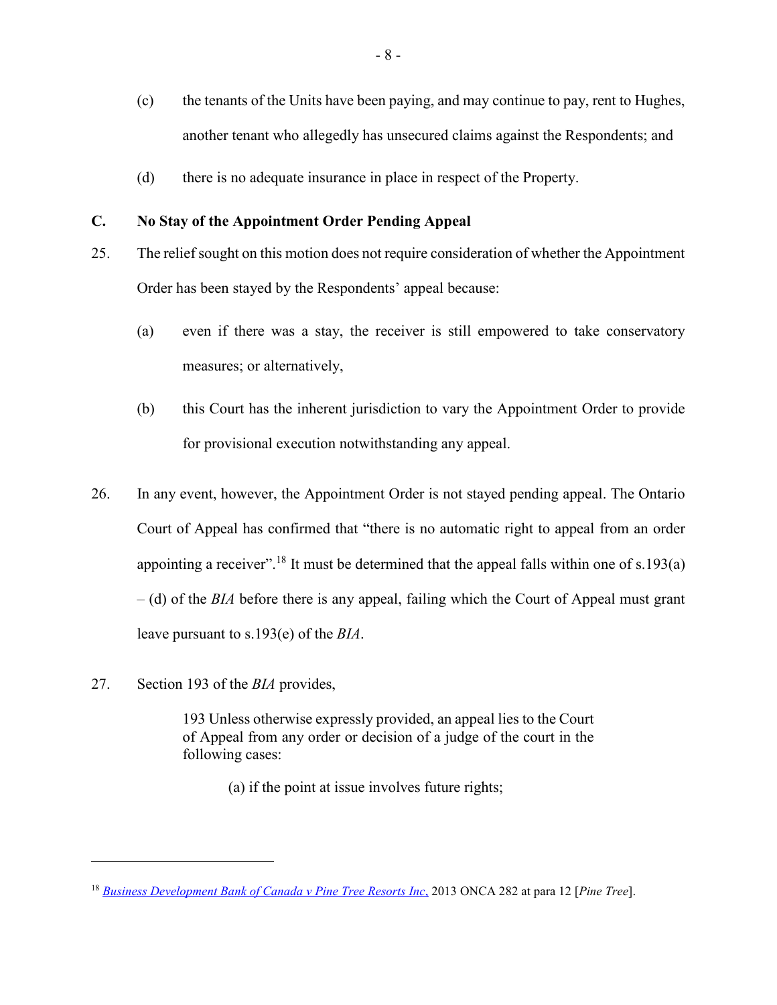- (c) the tenants of the Units have been paying, and may continue to pay, rent to Hughes, another tenant who allegedly has unsecured claims against the Respondents; and
- (d) there is no adequate insurance in place in respect of the Property.

## **C. No Stay of the Appointment Order Pending Appeal**

- 25. The relief sought on this motion does not require consideration of whether the Appointment Order has been stayed by the Respondents' appeal because:
	- (a) even if there was a stay, the receiver is still empowered to take conservatory measures; or alternatively,
	- (b) this Court has the inherent jurisdiction to vary the Appointment Order to provide for provisional execution notwithstanding any appeal.
- 26. In any event, however, the Appointment Order is not stayed pending appeal. The Ontario Court of Appeal has confirmed that "there is no automatic right to appeal from an order appointing a receiver".<sup>18</sup> It must be determined that the appeal falls within one of s.193(a) – (d) of the *BIA* before there is any appeal, failing which the Court of Appeal must grant leave pursuant to s.193(e) of the *BIA*.
- 27. Section 193 of the *BIA* provides,

 $\overline{a}$ 

193 Unless otherwise expressly provided, an appeal lies to the Court of Appeal from any order or decision of a judge of the court in the following cases:

(a) if the point at issue involves future rights;

<sup>18</sup> *[Business Development Bank of Canada v Pine Tree Resorts Inc](https://www.canlii.org/en/on/onca/doc/2013/2013onca282/2013onca282.html?autocompleteStr=Business%20Development%20Bank%20of%20Canada%20v%20Pine%20Tree%20Resorts%20Inc%2C%20&autocompletePos=1&searchUrlHash=AAAAAQACMTIAAAAAAQ&offset=0)*, 2013 ONCA 282 at para 12 [*Pine Tree*].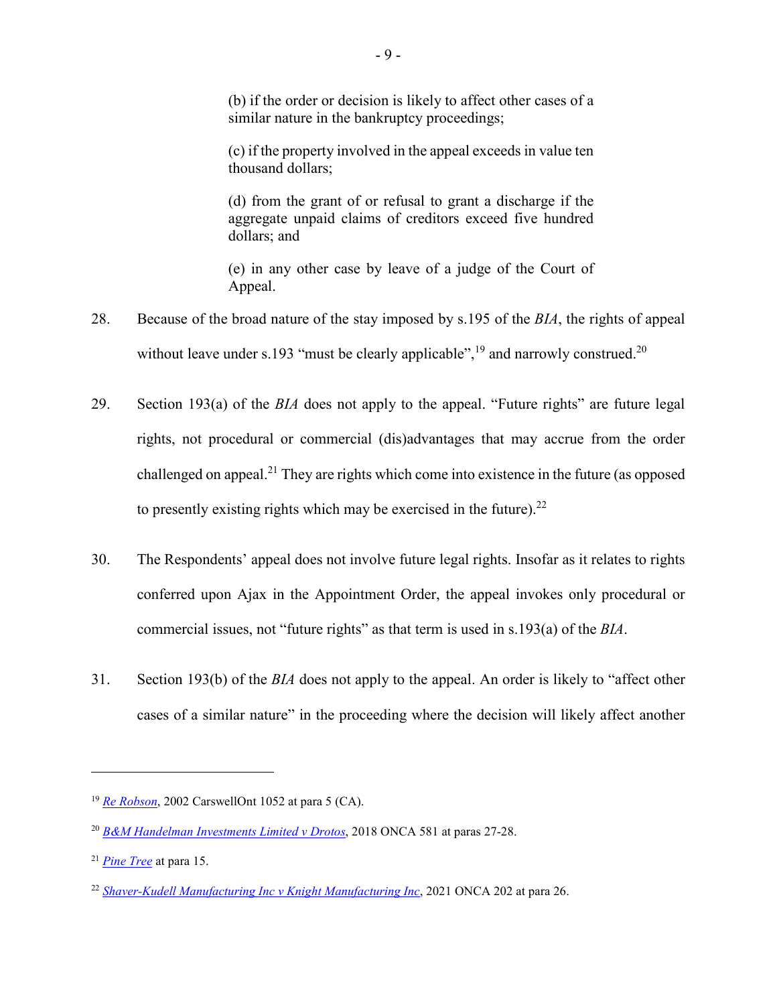(b) if the order or decision is likely to affect other cases of a similar nature in the bankruptcy proceedings;

(c) if the property involved in the appeal exceeds in value ten thousand dollars;

(d) from the grant of or refusal to grant a discharge if the aggregate unpaid claims of creditors exceed five hundred dollars; and

(e) in any other case by leave of a judge of the Court of Appeal.

- 28. Because of the broad nature of the stay imposed by s.195 of the *BIA*, the rights of appeal without leave under s.193 "must be clearly applicable",<sup>19</sup> and narrowly construed.<sup>20</sup>
- 29. Section 193(a) of the *BIA* does not apply to the appeal. "Future rights" are future legal rights, not procedural or commercial (dis)advantages that may accrue from the order challenged on appeal.<sup>21</sup> They are rights which come into existence in the future (as opposed to presently existing rights which may be exercised in the future). $22$
- 30. The Respondents' appeal does not involve future legal rights. Insofar as it relates to rights conferred upon Ajax in the Appointment Order, the appeal invokes only procedural or commercial issues, not "future rights" as that term is used in s.193(a) of the *BIA*.
- 31. Section 193(b) of the *BIA* does not apply to the appeal. An order is likely to "affect other cases of a similar nature" in the proceeding where the decision will likely affect another

<sup>19</sup> *[Re Robson](https://nextcanada.westlaw.com/Document/I10b717d3e01e63f0e0440003ba0d6c6d/View/FullText.html?navigationPath=Search%2Fv1%2Fresults%2Fnavigation%2Fi0ad62d3400000179803279692ae258bc%3Fppcid%3D399db10cd94844f69906bee8c881bc21%26Nav%3DCAN_CASESWITHOUTDECISIONS%26fragmentIdentifier%3DI10b717d3e01e63f0e0440003ba0d6c6d%26parentRank%3D0%26startIndex%3D1%26contextData%3D%2528sc.Search%2529%26transitionType%3DSearchItem&listSource=Search&listPageSource=577d3200a2321d3739a3bbfca0323892&list=ALL&rank=1&sessionScopeId=d984b7ce7af8241b92daca82147985abebf7f237e892332c9c08ace4cb211f04&originationContext=Search%20Result&transitionType=SearchItem&contextData=%28sc.Search%29)*, 2002 CarswellOnt 1052 at para 5 (CA).

<sup>20</sup> *[B&M Handelman Investments Limited v Drotos](https://www.canlii.org/en/on/onca/doc/2018/2018onca581/2018onca581.html?autocompleteStr=B%26M%20Handelman%20Investments%20Limited%20v%20Drotos&autocompletePos=2&searchUrlHash=AAAAAQACMjcAAAAAAQ&offset=700)*, 2018 ONCA 581 at paras 27-28.

<sup>21</sup> *[Pine Tree](https://www.canlii.org/en/on/onca/doc/2013/2013onca282/2013onca282.html?autocompleteStr=Business%20Development%20Bank%20of%20Canada%20v%20Pine%20Tree%20Resorts%20Inc%2C%20&autocompletePos=1&searchUrlHash=AAAAAQACMTUAAAAAAQ&offset=0)* at para 15.

<sup>22</sup> *[Shaver-Kudell Manufacturing Inc v Knight Manufacturing Inc](https://www.canlii.org/en/on/onca/doc/2021/2021onca202/2021onca202.html?autocompleteStr=Shaver-Kudell%20Manufacturing%20Inc%20v%20Knight%20Manufacturing%20Inc&autocompletePos=4&searchUrlHash=AAAAAQACMjYAAAAAAQ&offset=0)*, 2021 ONCA 202 at para 26.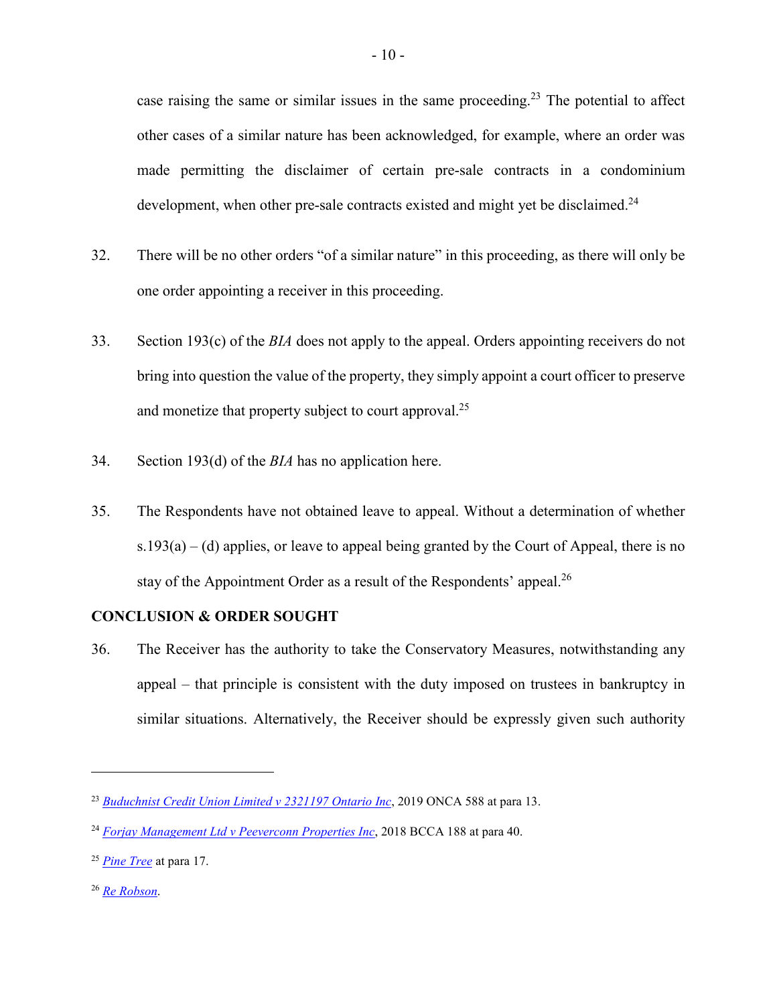case raising the same or similar issues in the same proceeding.<sup>23</sup> The potential to affect other cases of a similar nature has been acknowledged, for example, where an order was made permitting the disclaimer of certain pre-sale contracts in a condominium development, when other pre-sale contracts existed and might yet be disclaimed.<sup>24</sup>

- 32. There will be no other orders "of a similar nature" in this proceeding, as there will only be one order appointing a receiver in this proceeding.
- 33. Section 193(c) of the *BIA* does not apply to the appeal. Orders appointing receivers do not bring into question the value of the property, they simply appoint a court officer to preserve and monetize that property subject to court approval.<sup>25</sup>
- 34. Section 193(d) of the *BIA* has no application here.
- 35. The Respondents have not obtained leave to appeal. Without a determination of whether  $s.193(a) - (d)$  applies, or leave to appeal being granted by the Court of Appeal, there is no stay of the Appointment Order as a result of the Respondents' appeal.<sup>26</sup>

## **CONCLUSION & ORDER SOUGHT**

36. The Receiver has the authority to take the Conservatory Measures, notwithstanding any appeal – that principle is consistent with the duty imposed on trustees in bankruptcy in similar situations. Alternatively, the Receiver should be expressly given such authority

<sup>26</sup> *[Re Robson](https://nextcanada.westlaw.com/Document/I10b717d3e01e63f0e0440003ba0d6c6d/View/FullText.html?navigationPath=Search%2Fv1%2Fresults%2Fnavigation%2Fi0ad62d3400000179803279692ae258bc%3Fppcid%3D399db10cd94844f69906bee8c881bc21%26Nav%3DCAN_CASESWITHOUTDECISIONS%26fragmentIdentifier%3DI10b717d3e01e63f0e0440003ba0d6c6d%26parentRank%3D0%26startIndex%3D1%26contextData%3D%2528sc.Search%2529%26transitionType%3DSearchItem&listSource=Search&listPageSource=577d3200a2321d3739a3bbfca0323892&list=ALL&rank=1&sessionScopeId=d984b7ce7af8241b92daca82147985abebf7f237e892332c9c08ace4cb211f04&originationContext=Search%20Result&transitionType=SearchItem&contextData=%28sc.Search%29)*.

<sup>23</sup> *[Buduchnist Credit Union Limited v 2321197 Ontario Inc](https://www.canlii.org/en/on/onca/doc/2019/2019onca588/2019onca588.html?autocompleteStr=Buduchnist%20Credit%20Union%20Limited%20v%202321197%20Ontario%20Inc&autocompletePos=1&searchUrlHash=AAAAAQACMTMAAAAAAQ&offset=1000)*, 2019 ONCA 588 at para 13.

<sup>24</sup> *[Forjay Management Ltd v Peeverconn Properties Inc](https://www.canlii.org/en/bc/bcca/doc/2018/2018bcca188/2018bcca188.html?resultIndex=1&searchUrlHash=AAAAAQACNDAAAAAAAQ&offset=400)*, 2018 BCCA 188 at para 40.

<sup>25</sup> *[Pine Tree](https://www.canlii.org/en/on/onca/doc/2013/2013onca282/2013onca282.html?autocompleteStr=Business%20Development%20Bank%20of%20Canada%20v.%20Pine%20Tree%20Resorts%20Inc&autocompletePos=1&searchUrlHash=AAAAAQACMTcAAAAAAQ&offset=0)* at para 17.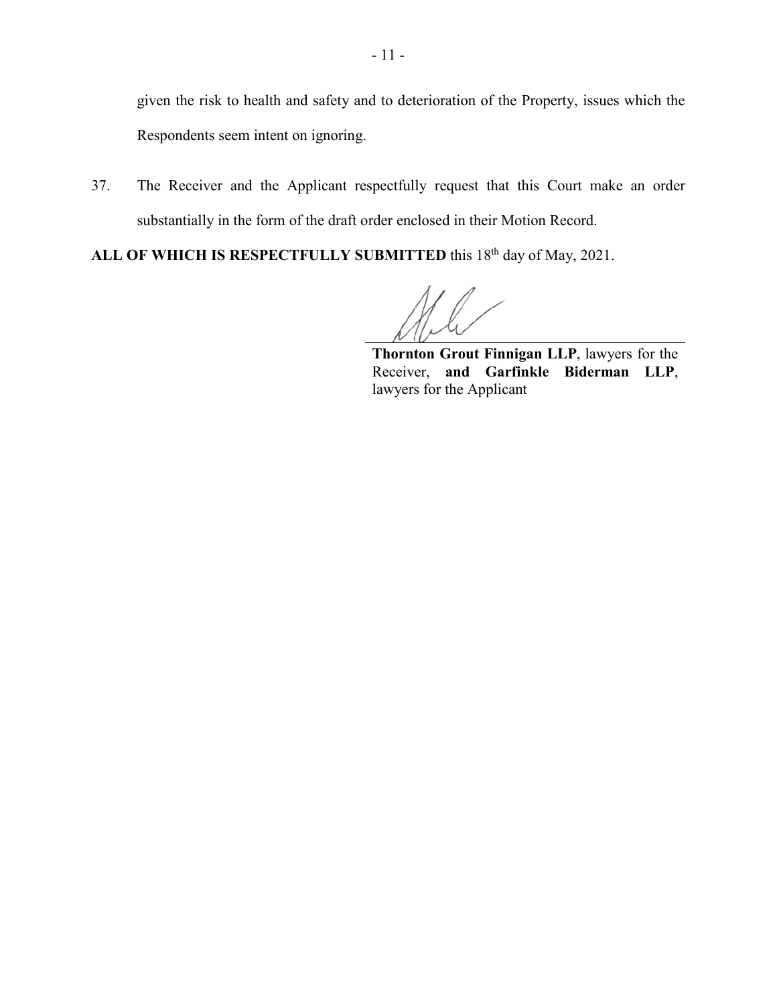given the risk to health and safety and to deterioration of the Property, issues which the Respondents seem intent on ignoring.

37. The Receiver and the Applicant respectfully request that this Court make an order substantially in the form of the draft order enclosed in their Motion Record.

ALL OF WHICH IS RESPECTFULLY SUBMITTED this 18<sup>th</sup> day of May, 2021.

**Thornton Grout Finnigan LLP**, lawyers for the Receiver, **and Garfinkle Biderman LLP**, lawyers for the Applicant